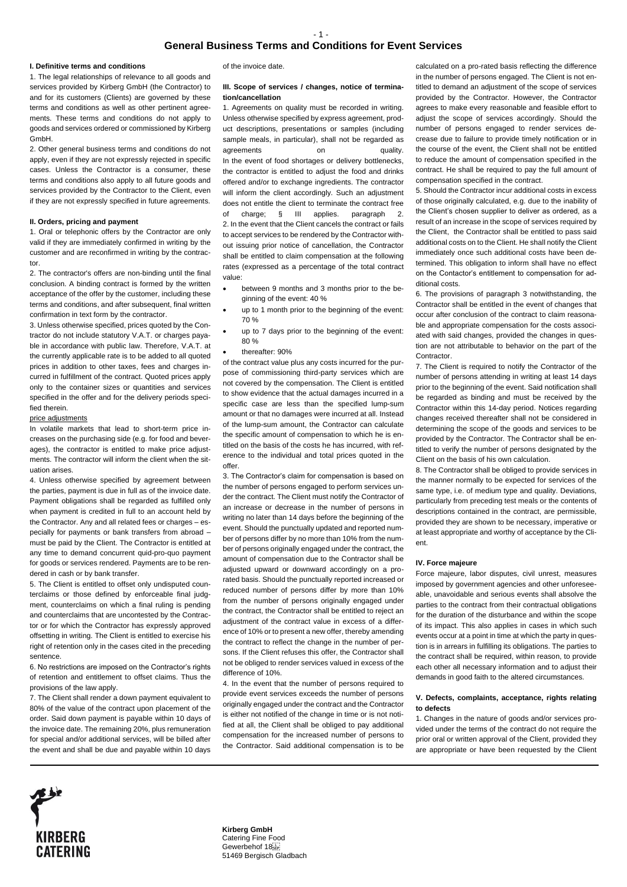# **General Business Terms and Conditions for Event Services**

### **I. Definitive terms and conditions**

1. The legal relationships of relevance to all goods and services provided by Kirberg GmbH (the Contractor) to and for its customers (Clients) are governed by these terms and conditions as well as other pertinent agreements. These terms and conditions do not apply to goods and services ordered or commissioned by Kirberg GmbH.

2. Other general business terms and conditions do not apply, even if they are not expressly rejected in specific cases. Unless the Contractor is a consumer, these terms and conditions also apply to all future goods and services provided by the Contractor to the Client, even if they are not expressly specified in future agreements.

#### **II. Orders, pricing and payment**

1. Oral or telephonic offers by the Contractor are only valid if they are immediately confirmed in writing by the customer and are reconfirmed in writing by the contractor.

2. The contractor's offers are non-binding until the final conclusion. A binding contract is formed by the written acceptance of the offer by the customer, including these terms and conditions, and after subsequent, final written confirmation in text form by the contractor.

3. Unless otherwise specified, prices quoted by the Contractor do not include statutory V.A.T. or charges payable in accordance with public law. Therefore, V.A.T. at the currently applicable rate is to be added to all quoted prices in addition to other taxes, fees and charges incurred in fulfillment of the contract. Quoted prices apply only to the container sizes or quantities and services specified in the offer and for the delivery periods specified therein.

#### price adjustments

In volatile markets that lead to short-term price increases on the purchasing side (e.g. for food and beverages), the contractor is entitled to make price adjustments. The contractor will inform the client when the situation arises.

4. Unless otherwise specified by agreement between the parties, payment is due in full as of the invoice date. Payment obligations shall be regarded as fulfilled only when payment is credited in full to an account held by the Contractor. Any and all related fees or charges – especially for payments or bank transfers from abroad – must be paid by the Client. The Contractor is entitled at any time to demand concurrent quid-pro-quo payment for goods or services rendered. Payments are to be rendered in cash or by bank transfer.

5. The Client is entitled to offset only undisputed counterclaims or those defined by enforceable final judgment, counterclaims on which a final ruling is pending and counterclaims that are uncontested by the Contractor or for which the Contractor has expressly approved offsetting in writing. The Client is entitled to exercise his right of retention only in the cases cited in the preceding sentence.

6. No restrictions are imposed on the Contractor's rights of retention and entitlement to offset claims. Thus the provisions of the law apply.

7. The Client shall render a down payment equivalent to 80% of the value of the contract upon placement of the order. Said down payment is payable within 10 days of the invoice date. The remaining 20%, plus remuneration for special and/or additional services, will be billed after the event and shall be due and payable within 10 days

of the invoice date.

## **III. Scope of services / changes, notice of termination/cancellation**

1. Agreements on quality must be recorded in writing. Unless otherwise specified by express agreement, product descriptions, presentations or samples (including sample meals, in particular), shall not be regarded as agreements on on quality. In the event of food shortages or delivery bottlenecks, the contractor is entitled to adjust the food and drinks offered and/or to exchange ingredients. The contractor will inform the client accordingly. Such an adjustment does not entitle the client to terminate the contract free of charge; § III applies. paragraph 2. 2. In the event that the Client cancels the contract or fails to accept services to be rendered by the Contractor without issuing prior notice of cancellation, the Contractor shall be entitled to claim compensation at the following rates (expressed as a percentage of the total contract value:

- between 9 months and 3 months prior to the beginning of the event: 40 %
- up to 1 month prior to the beginning of the event: 70 %
- up to 7 days prior to the beginning of the event: 80 %
- thereafter: 90%

of the contract value plus any costs incurred for the purpose of commissioning third-party services which are not covered by the compensation. The Client is entitled to show evidence that the actual damages incurred in a specific case are less than the specified lump-sum amount or that no damages were incurred at all. Instead of the lump-sum amount, the Contractor can calculate the specific amount of compensation to which he is entitled on the basis of the costs he has incurred, with reference to the individual and total prices quoted in the offer.

3. The Contractor's claim for compensation is based on the number of persons engaged to perform services under the contract. The Client must notify the Contractor of an increase or decrease in the number of persons in writing no later than 14 days before the beginning of the event. Should the punctually updated and reported number of persons differ by no more than 10% from the number of persons originally engaged under the contract, the amount of compensation due to the Contractor shall be adjusted upward or downward accordingly on a prorated basis. Should the punctually reported increased or reduced number of persons differ by more than 10% from the number of persons originally engaged under the contract, the Contractor shall be entitled to reject an adjustment of the contract value in excess of a difference of 10% or to present a new offer, thereby amending the contract to reflect the change in the number of persons. If the Client refuses this offer, the Contractor shall not be obliged to render services valued in excess of the difference of 10%.

4. In the event that the number of persons required to provide event services exceeds the number of persons originally engaged under the contract and the Contractor is either not notified of the change in time or is not notified at all, the Client shall be obliged to pay additional compensation for the increased number of persons to the Contractor. Said additional compensation is to be calculated on a pro-rated basis reflecting the difference in the number of persons engaged. The Client is not entitled to demand an adjustment of the scope of services provided by the Contractor. However, the Contractor agrees to make every reasonable and feasible effort to adjust the scope of services accordingly. Should the number of persons engaged to render services decrease due to failure to provide timely notification or in the course of the event, the Client shall not be entitled to reduce the amount of compensation specified in the contract. He shall be required to pay the full amount of compensation specified in the contract.

5. Should the Contractor incur additional costs in excess of those originally calculated, e.g. due to the inability of the Client's chosen supplier to deliver as ordered, as a result of an increase in the scope of services required by the Client, the Contractor shall be entitled to pass said additional costs on to the Client. He shall notify the Client immediately once such additional costs have been determined. This obligation to inform shall have no effect on the Contactor's entitlement to compensation for additional costs.

6. The provisions of paragraph 3 notwithstanding, the Contractor shall be entitled in the event of changes that occur after conclusion of the contract to claim reasonable and appropriate compensation for the costs associated with said changes, provided the changes in question are not attributable to behavior on the part of the Contractor.

7. The Client is required to notify the Contractor of the number of persons attending in writing at least 14 days prior to the beginning of the event. Said notification shall be regarded as binding and must be received by the Contractor within this 14-day period. Notices regarding changes received thereafter shall not be considered in determining the scope of the goods and services to be provided by the Contractor. The Contractor shall be entitled to verify the number of persons designated by the Client on the basis of his own calculation.

8. The Contractor shall be obliged to provide services in the manner normally to be expected for services of the same type, i.e. of medium type and quality. Deviations, particularly from preceding test meals or the contents of descriptions contained in the contract, are permissible, provided they are shown to be necessary, imperative or at least appropriate and worthy of acceptance by the Client.

### **IV. Force majeure**

Force majeure, labor disputes, civil unrest, measures imposed by government agencies and other unforeseeable, unavoidable and serious events shall absolve the parties to the contract from their contractual obligations for the duration of the disturbance and within the scope of its impact. This also applies in cases in which such events occur at a point in time at which the party in question is in arrears in fulfilling its obligations. The parties to the contract shall be required, within reason, to provide each other all necessary information and to adjust their demands in good faith to the altered circumstances.

# **V. Defects, complaints, acceptance, rights relating to defects**

1. Changes in the nature of goods and/or services provided under the terms of the contract do not require the prior oral or written approval of the Client, provided they are appropriate or have been requested by the Client



**Kirberg GmbH**  Catering Fine Food Gewerbehof 18 51469 Bergisch Gladbach